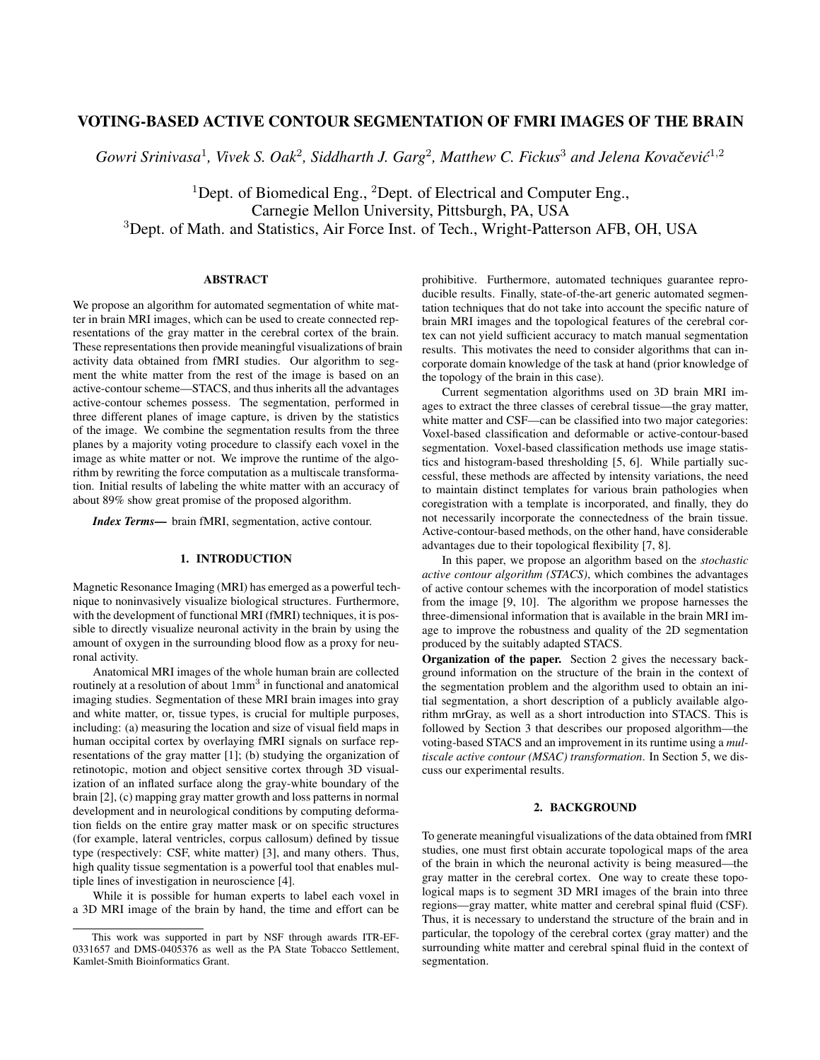# VOTING-BASED ACTIVE CONTOUR SEGMENTATION OF FMRI IMAGES OF THE BRAIN

Gowri Srinivasa<sup>1</sup>, Vivek S. Oak<sup>2</sup>, Siddharth J. Garg<sup>2</sup>, Matthew C. Fickus<sup>3</sup> and Jelena Kovačević<sup>1,2</sup>

<sup>1</sup>Dept. of Biomedical Eng., <sup>2</sup>Dept. of Electrical and Computer Eng., Carnegie Mellon University, Pittsburgh, PA, USA <sup>3</sup>Dept. of Math. and Statistics, Air Force Inst. of Tech., Wright-Patterson AFB, OH, USA

### ABSTRACT

We propose an algorithm for automated segmentation of white matter in brain MRI images, which can be used to create connected representations of the gray matter in the cerebral cortex of the brain. These representations then provide meaningful visualizations of brain activity data obtained from fMRI studies. Our algorithm to segment the white matter from the rest of the image is based on an active-contour scheme—STACS, and thus inherits all the advantages active-contour schemes possess. The segmentation, performed in three different planes of image capture, is driven by the statistics of the image. We combine the segmentation results from the three planes by a majority voting procedure to classify each voxel in the image as white matter or not. We improve the runtime of the algorithm by rewriting the force computation as a multiscale transformation. Initial results of labeling the white matter with an accuracy of about 89% show great promise of the proposed algorithm.

*Index Terms*— brain fMRI, segmentation, active contour.

## 1. INTRODUCTION

Magnetic Resonance Imaging (MRI) has emerged as a powerful technique to noninvasively visualize biological structures. Furthermore, with the development of functional MRI (fMRI) techniques, it is possible to directly visualize neuronal activity in the brain by using the amount of oxygen in the surrounding blood flow as a proxy for neuronal activity.

Anatomical MRI images of the whole human brain are collected routinely at a resolution of about  $1mm<sup>3</sup>$  in functional and anatomical imaging studies. Segmentation of these MRI brain images into gray and white matter, or, tissue types, is crucial for multiple purposes, including: (a) measuring the location and size of visual field maps in human occipital cortex by overlaying fMRI signals on surface representations of the gray matter [1]; (b) studying the organization of retinotopic, motion and object sensitive cortex through 3D visualization of an inflated surface along the gray-white boundary of the brain [2], (c) mapping gray matter growth and loss patterns in normal development and in neurological conditions by computing deformation fields on the entire gray matter mask or on specific structures (for example, lateral ventricles, corpus callosum) defined by tissue type (respectively: CSF, white matter) [3], and many others. Thus, high quality tissue segmentation is a powerful tool that enables multiple lines of investigation in neuroscience [4].

While it is possible for human experts to label each voxel in a 3D MRI image of the brain by hand, the time and effort can be prohibitive. Furthermore, automated techniques guarantee reproducible results. Finally, state-of-the-art generic automated segmentation techniques that do not take into account the specific nature of brain MRI images and the topological features of the cerebral cortex can not yield sufficient accuracy to match manual segmentation results. This motivates the need to consider algorithms that can incorporate domain knowledge of the task at hand (prior knowledge of the topology of the brain in this case).

Current segmentation algorithms used on 3D brain MRI images to extract the three classes of cerebral tissue—the gray matter, white matter and CSF—can be classified into two major categories: Voxel-based classification and deformable or active-contour-based segmentation. Voxel-based classification methods use image statistics and histogram-based thresholding [5, 6]. While partially successful, these methods are affected by intensity variations, the need to maintain distinct templates for various brain pathologies when coregistration with a template is incorporated, and finally, they do not necessarily incorporate the connectedness of the brain tissue. Active-contour-based methods, on the other hand, have considerable advantages due to their topological flexibility [7, 8].

In this paper, we propose an algorithm based on the *stochastic active contour algorithm (STACS)*, which combines the advantages of active contour schemes with the incorporation of model statistics from the image [9, 10]. The algorithm we propose harnesses the three-dimensional information that is available in the brain MRI image to improve the robustness and quality of the 2D segmentation produced by the suitably adapted STACS.

Organization of the paper. Section 2 gives the necessary background information on the structure of the brain in the context of the segmentation problem and the algorithm used to obtain an initial segmentation, a short description of a publicly available algorithm mrGray, as well as a short introduction into STACS. This is followed by Section 3 that describes our proposed algorithm—the voting-based STACS and an improvement in its runtime using a *multiscale active contour (MSAC) transformation*. In Section 5, we discuss our experimental results.

#### 2. BACKGROUND

To generate meaningful visualizations of the data obtained from fMRI studies, one must first obtain accurate topological maps of the area of the brain in which the neuronal activity is being measured—the gray matter in the cerebral cortex. One way to create these topological maps is to segment 3D MRI images of the brain into three regions—gray matter, white matter and cerebral spinal fluid (CSF). Thus, it is necessary to understand the structure of the brain and in particular, the topology of the cerebral cortex (gray matter) and the surrounding white matter and cerebral spinal fluid in the context of segmentation.

This work was supported in part by NSF through awards ITR-EF-0331657 and DMS-0405376 as well as the PA State Tobacco Settlement, Kamlet-Smith Bioinformatics Grant.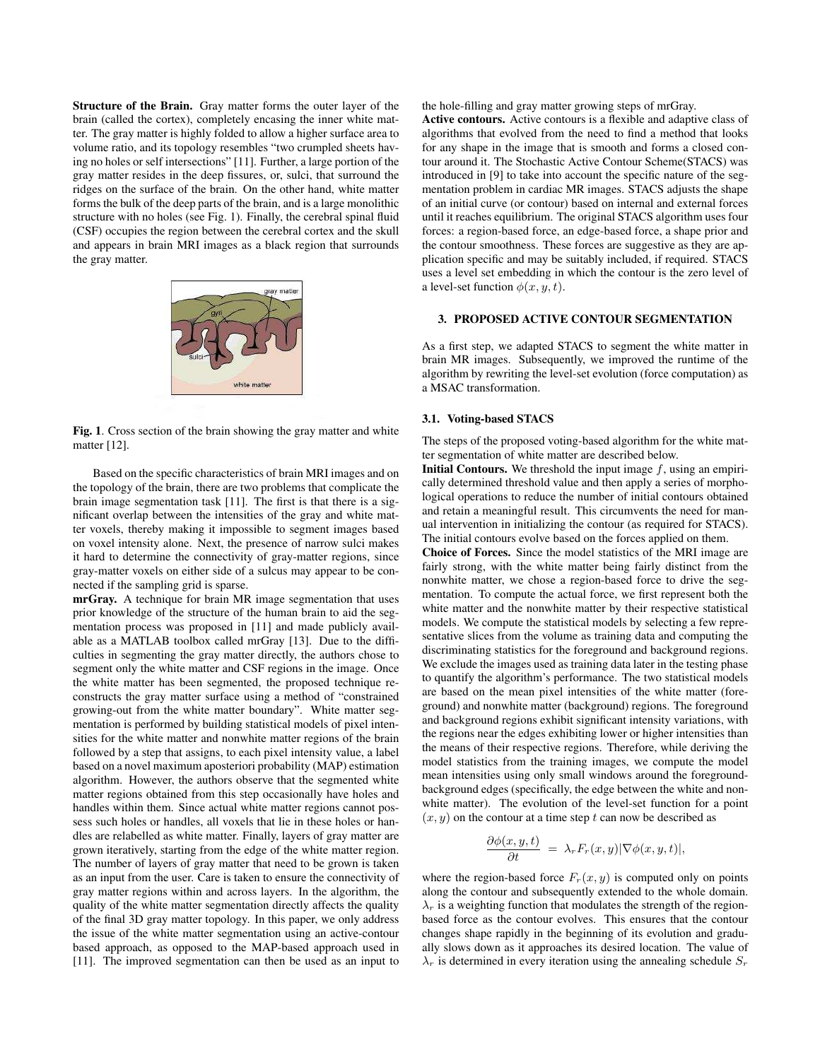Structure of the Brain. Gray matter forms the outer layer of the brain (called the cortex), completely encasing the inner white matter. The gray matter is highly folded to allow a higher surface area to volume ratio, and its topology resembles "two crumpled sheets having no holes or self intersections" [11]. Further, a large portion of the gray matter resides in the deep fissures, or, sulci, that surround the ridges on the surface of the brain. On the other hand, white matter forms the bulk of the deep parts of the brain, and is a large monolithic structure with no holes (see Fig. 1). Finally, the cerebral spinal fluid (CSF) occupies the region between the cerebral cortex and the skull and appears in brain MRI images as a black region that surrounds the gray matter.



Fig. 1. Cross section of the brain showing the gray matter and white matter [12].

Based on the specific characteristics of brain MRI images and on the topology of the brain, there are two problems that complicate the brain image segmentation task [11]. The first is that there is a significant overlap between the intensities of the gray and white matter voxels, thereby making it impossible to segment images based on voxel intensity alone. Next, the presence of narrow sulci makes it hard to determine the connectivity of gray-matter regions, since gray-matter voxels on either side of a sulcus may appear to be connected if the sampling grid is sparse.

mrGray. A technique for brain MR image segmentation that uses prior knowledge of the structure of the human brain to aid the segmentation process was proposed in [11] and made publicly available as a MATLAB toolbox called mrGray [13]. Due to the difficulties in segmenting the gray matter directly, the authors chose to segment only the white matter and CSF regions in the image. Once the white matter has been segmented, the proposed technique reconstructs the gray matter surface using a method of "constrained growing-out from the white matter boundary". White matter segmentation is performed by building statistical models of pixel intensities for the white matter and nonwhite matter regions of the brain followed by a step that assigns, to each pixel intensity value, a label based on a novel maximum aposteriori probability (MAP) estimation algorithm. However, the authors observe that the segmented white matter regions obtained from this step occasionally have holes and handles within them. Since actual white matter regions cannot possess such holes or handles, all voxels that lie in these holes or handles are relabelled as white matter. Finally, layers of gray matter are grown iteratively, starting from the edge of the white matter region. The number of layers of gray matter that need to be grown is taken as an input from the user. Care is taken to ensure the connectivity of gray matter regions within and across layers. In the algorithm, the quality of the white matter segmentation directly affects the quality of the final 3D gray matter topology. In this paper, we only address the issue of the white matter segmentation using an active-contour based approach, as opposed to the MAP-based approach used in [11]. The improved segmentation can then be used as an input to

the hole-filling and gray matter growing steps of mrGray.

Active contours. Active contours is a flexible and adaptive class of algorithms that evolved from the need to find a method that looks for any shape in the image that is smooth and forms a closed contour around it. The Stochastic Active Contour Scheme(STACS) was introduced in [9] to take into account the specific nature of the segmentation problem in cardiac MR images. STACS adjusts the shape of an initial curve (or contour) based on internal and external forces until it reaches equilibrium. The original STACS algorithm uses four forces: a region-based force, an edge-based force, a shape prior and the contour smoothness. These forces are suggestive as they are application specific and may be suitably included, if required. STACS uses a level set embedding in which the contour is the zero level of a level-set function  $\phi(x, y, t)$ .

#### 3. PROPOSED ACTIVE CONTOUR SEGMENTATION

As a first step, we adapted STACS to segment the white matter in brain MR images. Subsequently, we improved the runtime of the algorithm by rewriting the level-set evolution (force computation) as a MSAC transformation.

#### 3.1. Voting-based STACS

The steps of the proposed voting-based algorithm for the white matter segmentation of white matter are described below.

**Initial Contours.** We threshold the input image  $f$ , using an empirically determined threshold value and then apply a series of morphological operations to reduce the number of initial contours obtained and retain a meaningful result. This circumvents the need for manual intervention in initializing the contour (as required for STACS). The initial contours evolve based on the forces applied on them.

Choice of Forces. Since the model statistics of the MRI image are fairly strong, with the white matter being fairly distinct from the nonwhite matter, we chose a region-based force to drive the segmentation. To compute the actual force, we first represent both the white matter and the nonwhite matter by their respective statistical models. We compute the statistical models by selecting a few representative slices from the volume as training data and computing the discriminating statistics for the foreground and background regions. We exclude the images used as training data later in the testing phase to quantify the algorithm's performance. The two statistical models are based on the mean pixel intensities of the white matter (foreground) and nonwhite matter (background) regions. The foreground and background regions exhibit significant intensity variations, with the regions near the edges exhibiting lower or higher intensities than the means of their respective regions. Therefore, while deriving the model statistics from the training images, we compute the model mean intensities using only small windows around the foregroundbackground edges (specifically, the edge between the white and nonwhite matter). The evolution of the level-set function for a point  $(x, y)$  on the contour at a time step t can now be described as

$$
\frac{\partial \phi(x, y, t)}{\partial t} = \lambda_r F_r(x, y) |\nabla \phi(x, y, t)|,
$$

where the region-based force  $F_r(x, y)$  is computed only on points along the contour and subsequently extended to the whole domain.  $\lambda_r$  is a weighting function that modulates the strength of the regionbased force as the contour evolves. This ensures that the contour changes shape rapidly in the beginning of its evolution and gradually slows down as it approaches its desired location. The value of  $\lambda_r$  is determined in every iteration using the annealing schedule  $S_r$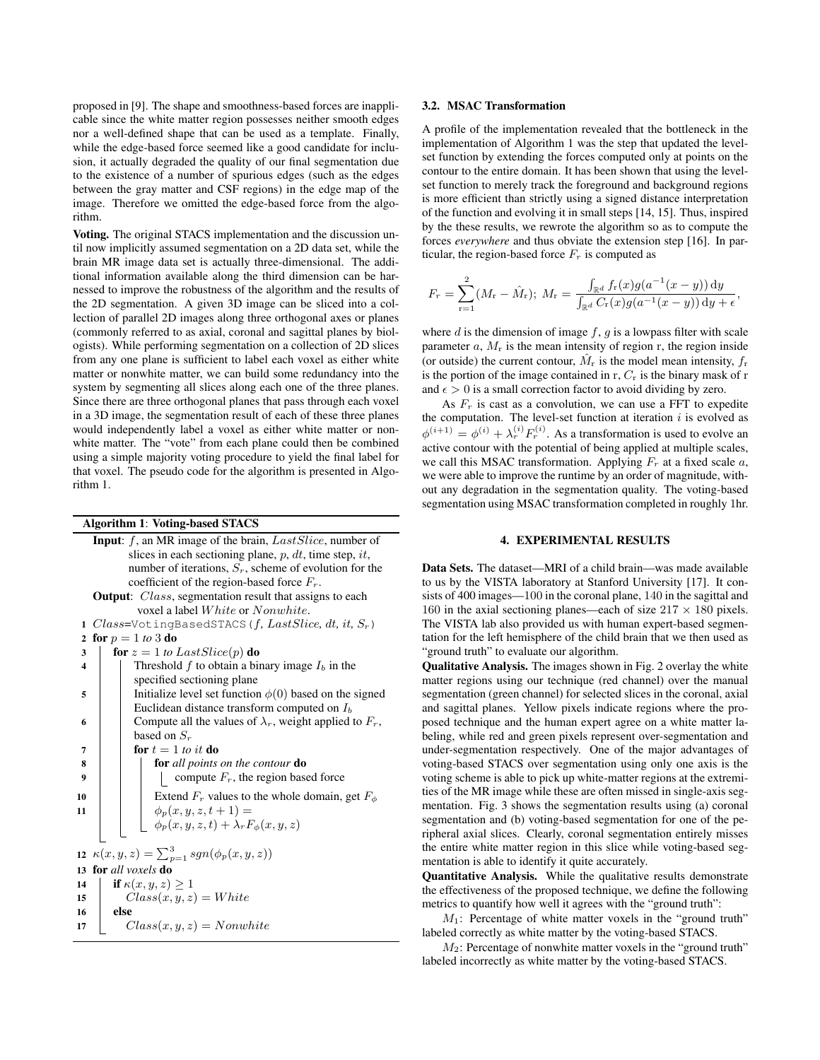proposed in [9]. The shape and smoothness-based forces are inapplicable since the white matter region possesses neither smooth edges nor a well-defined shape that can be used as a template. Finally, while the edge-based force seemed like a good candidate for inclusion, it actually degraded the quality of our final segmentation due to the existence of a number of spurious edges (such as the edges between the gray matter and CSF regions) in the edge map of the image. Therefore we omitted the edge-based force from the algorithm.

Voting. The original STACS implementation and the discussion until now implicitly assumed segmentation on a 2D data set, while the brain MR image data set is actually three-dimensional. The additional information available along the third dimension can be harnessed to improve the robustness of the algorithm and the results of the 2D segmentation. A given 3D image can be sliced into a collection of parallel 2D images along three orthogonal axes or planes (commonly referred to as axial, coronal and sagittal planes by biologists). While performing segmentation on a collection of 2D slices from any one plane is sufficient to label each voxel as either white matter or nonwhite matter, we can build some redundancy into the system by segmenting all slices along each one of the three planes. Since there are three orthogonal planes that pass through each voxel in a 3D image, the segmentation result of each of these three planes would independently label a voxel as either white matter or nonwhite matter. The "vote" from each plane could then be combined using a simple majority voting procedure to yield the final label for that voxel. The pseudo code for the algorithm is presented in Algorithm 1.

### Algorithm 1: Voting-based STACS

Input: f, an MR image of the brain, *LastSlice*, number of slices in each sectioning plane, p, dt, time step, it, number of iterations,  $S_r$ , scheme of evolution for the coefficient of the region-based force  $F_r$ . Output: Class, segmentation result that assigns to each voxel a label White or Nonwhite. 1 Class=VotingBasedSTACS(f*,* LastSlice*,* dt*,* it*,* Sr) 2 for  $p = 1$  *to* 3 do  $3 \int$  for  $z = 1$  to Last Slice(p) do 4 Threshold f to obtain a binary image  $I_b$  in the specified sectioning plane 5 | Initialize level set function  $\phi(0)$  based on the signed Euclidean distance transform computed on  $I_b$ 6 Compute all the values of  $\lambda_r$ , weight applied to  $F_r$ , based on  $S_r$  $7 \mid \cdot \cdot \cdot \cdot \cdot 1$  for  $t = 1$  *to it* do 8 for *all points on the contour* do 9  $\vert$   $\vert$   $\vert$   $\vert$  compute  $F_r$ , the region based force 10  $\parallel$   $\parallel$  Extend  $F_r$  values to the whole domain, get  $F_{\phi}$ 11  $\phi_p(x, y, z, t + 1) =$  $\phi_p(x, y, z, t) + \lambda_r F_\phi(x, y, z)$ 12  $\kappa(x, y, z) = \sum_{p=1}^{3} sgn(\phi_p(x, y, z))$ 13 for *all voxels* do 14 **if**  $\kappa(x, y, z) \geq 1$ 15  $Class(x, y, z) = White$ 16 else 17  $Class(x, y, z) = Nonwhite$ 

#### 3.2. MSAC Transformation

A profile of the implementation revealed that the bottleneck in the implementation of Algorithm 1 was the step that updated the levelset function by extending the forces computed only at points on the contour to the entire domain. It has been shown that using the levelset function to merely track the foreground and background regions is more efficient than strictly using a signed distance interpretation of the function and evolving it in small steps [14, 15]. Thus, inspired by the these results, we rewrote the algorithm so as to compute the forces *everywhere* and thus obviate the extension step [16]. In particular, the region-based force  $F_r$  is computed as

$$
F_r = \sum_{r=1}^2 (M_r - \hat{M}_r); M_r = \frac{\int_{\mathbb{R}^d} f_r(x)g(a^{-1}(x-y)) dy}{\int_{\mathbb{R}^d} C_r(x)g(a^{-1}(x-y)) dy + \epsilon},
$$

where  $d$  is the dimension of image  $f$ ,  $g$  is a lowpass filter with scale parameter  $a$ ,  $M_r$  is the mean intensity of region r, the region inside (or outside) the current contour,  $\hat{M}_r$  is the model mean intensity,  $f_r$ is the portion of the image contained in  $r$ ,  $C_r$  is the binary mask of  $r$ and  $\epsilon > 0$  is a small correction factor to avoid dividing by zero.

As  $F_r$  is cast as a convolution, we can use a FFT to expedite the computation. The level-set function at iteration  $i$  is evolved as  $\phi^{(i+1)} = \phi^{(i)} + \lambda_r^{(i)} F_r^{(i)}$ . As a transformation is used to evolve an active contour with the potential of being applied at multiple scales, we call this MSAC transformation. Applying  $F_r$  at a fixed scale  $a$ , we were able to improve the runtime by an order of magnitude, without any degradation in the segmentation quality. The voting-based segmentation using MSAC transformation completed in roughly 1hr.

#### 4. EXPERIMENTAL RESULTS

Data Sets. The dataset—MRI of a child brain—was made available to us by the VISTA laboratory at Stanford University [17]. It consists of 400 images—100 in the coronal plane, 140 in the sagittal and 160 in the axial sectioning planes—each of size  $217 \times 180$  pixels. The VISTA lab also provided us with human expert-based segmentation for the left hemisphere of the child brain that we then used as "ground truth" to evaluate our algorithm.

Qualitative Analysis. The images shown in Fig. 2 overlay the white matter regions using our technique (red channel) over the manual segmentation (green channel) for selected slices in the coronal, axial and sagittal planes. Yellow pixels indicate regions where the proposed technique and the human expert agree on a white matter labeling, while red and green pixels represent over-segmentation and under-segmentation respectively. One of the major advantages of voting-based STACS over segmentation using only one axis is the voting scheme is able to pick up white-matter regions at the extremities of the MR image while these are often missed in single-axis segmentation. Fig. 3 shows the segmentation results using (a) coronal segmentation and (b) voting-based segmentation for one of the peripheral axial slices. Clearly, coronal segmentation entirely misses the entire white matter region in this slice while voting-based segmentation is able to identify it quite accurately.

Quantitative Analysis. While the qualitative results demonstrate the effectiveness of the proposed technique, we define the following metrics to quantify how well it agrees with the "ground truth":

 $M_1$ : Percentage of white matter voxels in the "ground truth" labeled correctly as white matter by the voting-based STACS.

 $M_2$ : Percentage of nonwhite matter voxels in the "ground truth" labeled incorrectly as white matter by the voting-based STACS.